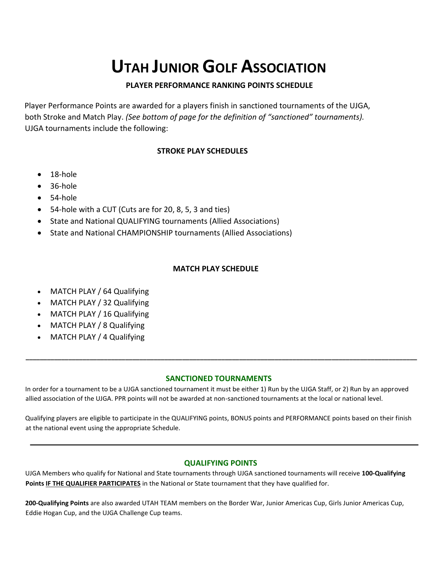# **UTAH JUNIOR GOLF ASSOCIATION**

# **PLAYER PERFORMANCE RANKING POINTS SCHEDULE**

Player Performance Points are awarded for a players finish in sanctioned tournaments of the UJGA, both Stroke and Match Play. *(See bottom of page for the definition of "sanctioned" tournaments).* UJGA tournaments include the following:

# **STROKE PLAY SCHEDULES**

- 18-hole
- 36-hole
- 54-hole
- 54-hole with a CUT (Cuts are for 20, 8, 5, 3 and ties)
- State and National QUALIFYING tournaments (Allied Associations)
- State and National CHAMPIONSHIP tournaments (Allied Associations)

## **MATCH PLAY SCHEDULE**

- MATCH PLAY / 64 Qualifying
- MATCH PLAY / 32 Qualifying
- MATCH PLAY / 16 Qualifying
- MATCH PLAY / 8 Qualifying
- MATCH PLAY / 4 Qualifying

## **SANCTIONED TOURNAMENTS**

**\_\_\_\_\_\_\_\_\_\_\_\_\_\_\_\_\_\_\_\_\_\_\_\_\_\_\_\_\_\_\_\_\_\_\_\_\_\_\_\_\_\_\_\_\_\_\_\_\_\_\_\_\_\_\_\_\_\_\_\_\_\_\_\_\_\_\_\_\_\_\_\_\_\_\_\_\_\_\_\_\_\_\_\_\_\_\_\_\_\_\_\_\_\_\_\_\_\_\_\_\_\_\_\_\_\_\_\_\_\_**

In order for a tournament to be a UJGA sanctioned tournament it must be either 1) Run by the UJGA Staff, or 2) Run by an approved allied association of the UJGA. PPR points will not be awarded at non-sanctioned tournaments at the local or national level.

Qualifying players are eligible to participate in the QUALIFYING points, BONUS points and PERFORMANCE points based on their finish at the national event using the appropriate Schedule.

## **QUALIFYING POINTS**

UJGA Members who qualify for National and State tournaments through UJGA sanctioned tournaments will receive **100-Qualifying Points IF THE QUALIFIER PARTICIPATES** in the National or State tournament that they have qualified for.

**200-Qualifying Points** are also awarded UTAH TEAM members on the Border War, Junior Americas Cup, Girls Junior Americas Cup, Eddie Hogan Cup, and the UJGA Challenge Cup teams.